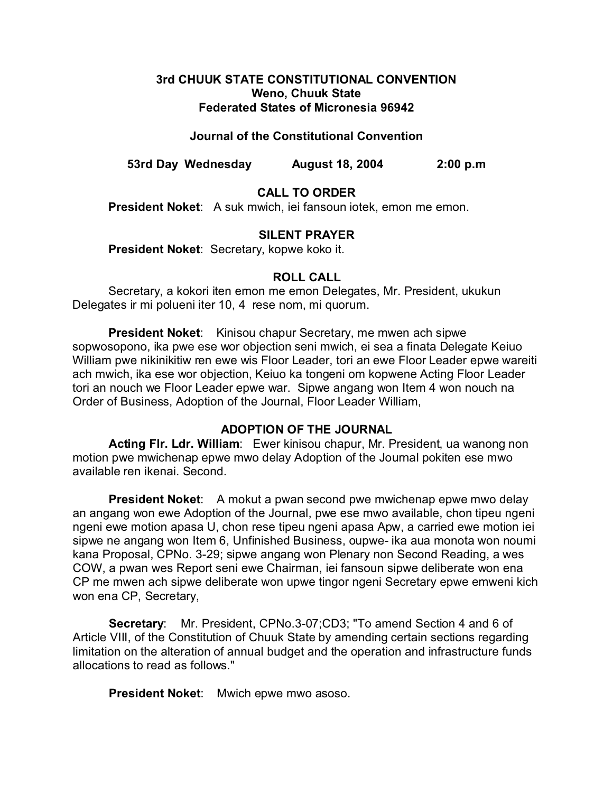## **3rd CHUUK STATE CONSTITUTIONAL CONVENTION Weno, Chuuk State Federated States of Micronesia 96942**

## **Journal of the Constitutional Convention**

**53rd Day Wednesday August 18, 2004 2:00 p.m**

# **CALL TO ORDER**

**President Noket**: A suk mwich, iei fansoun iotek, emon me emon.

### **SILENT PRAYER**

**President Noket**: Secretary, kopwe koko it.

### **ROLL CALL**

Secretary, a kokori iten emon me emon Delegates, Mr. President, ukukun Delegates ir mi polueni iter 10, 4 rese nom, mi quorum.

**President Noket**: Kinisou chapur Secretary, me mwen ach sipwe sopwosopono, ika pwe ese wor objection seni mwich, ei sea a finata Delegate Keiuo William pwe nikinikitiw ren ewe wis Floor Leader, tori an ewe Floor Leader epwe wareiti ach mwich, ika ese wor objection, Keiuo ka tongeni om kopwene Acting Floor Leader tori an nouch we Floor Leader epwe war. Sipwe angang won Item 4 won nouch na Order of Business, Adoption of the Journal, Floor Leader William,

# **ADOPTION OF THE JOURNAL**

**Acting Flr. Ldr. William**: Ewer kinisou chapur, Mr. President, ua wanong non motion pwe mwichenap epwe mwo delay Adoption of the Journal pokiten ese mwo available ren ikenai. Second.

**President Noket:** A mokut a pwan second pwe mwichenap epwe mwo delay an angang won ewe Adoption of the Journal, pwe ese mwo available, chon tipeu ngeni ngeni ewe motion apasa U, chon rese tipeu ngeni apasa Apw, a carried ewe motion iei sipwe ne angang won Item 6, Unfinished Business, oupwe- ika aua monota won noumi kana Proposal, CPNo. 3-29; sipwe angang won Plenary non Second Reading, a wes COW, a pwan wes Report seni ewe Chairman, iei fansoun sipwe deliberate won ena CP me mwen ach sipwe deliberate won upwe tingor ngeni Secretary epwe emweni kich won ena CP, Secretary,

**Secretary**: Mr. President, CPNo.3-07;CD3; "To amend Section 4 and 6 of Article VIII, of the Constitution of Chuuk State by amending certain sections regarding limitation on the alteration of annual budget and the operation and infrastructure funds allocations to read as follows."

**President Noket**: Mwich epwe mwo asoso.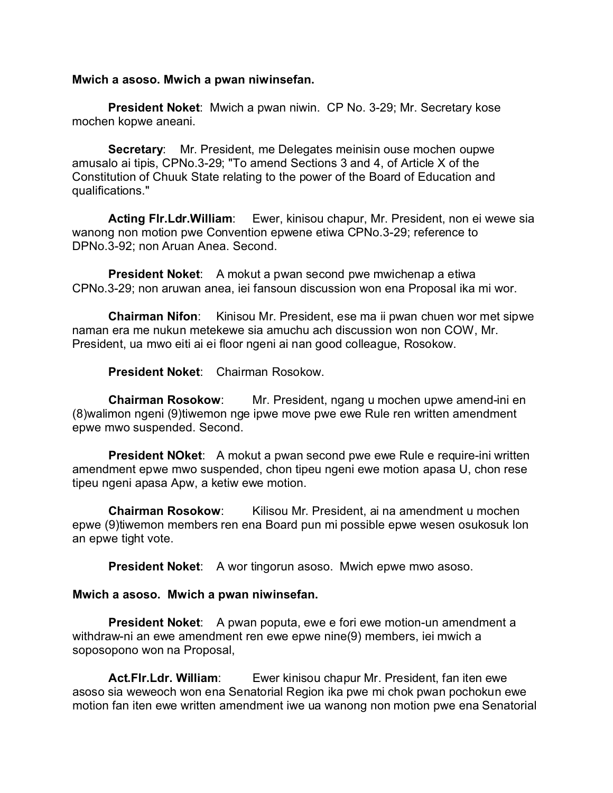#### **Mwich a asoso. Mwich a pwan niwinsefan.**

**President Noket**: Mwich a pwan niwin. CP No. 3-29; Mr. Secretary kose mochen kopwe aneani.

**Secretary**: Mr. President, me Delegates meinisin ouse mochen oupwe amusalo ai tipis, CPNo.3-29; "To amend Sections 3 and 4, of Article X of the Constitution of Chuuk State relating to the power of the Board of Education and qualifications."

**Acting Flr.Ldr.William**: Ewer, kinisou chapur, Mr. President, non ei wewe sia wanong non motion pwe Convention epwene etiwa CPNo.3-29; reference to DPNo.3-92; non Aruan Anea. Second.

**President Noket:** A mokut a pwan second pwe mwichenap a etiwa CPNo.3-29; non aruwan anea, iei fansoun discussion won ena Proposal ika mi wor.

**Chairman Nifon**: Kinisou Mr. President, ese ma ii pwan chuen wor met sipwe naman era me nukun metekewe sia amuchu ach discussion won non COW, Mr. President, ua mwo eiti ai ei floor ngeni ai nan good colleague, Rosokow.

**President Noket**: Chairman Rosokow.

**Chairman Rosokow**: Mr. President, ngang u mochen upwe amend-ini en (8)walimon ngeni (9)tiwemon nge ipwe move pwe ewe Rule ren written amendment epwe mwo suspended. Second.

**President NOket**: A mokut a pwan second pwe ewe Rule e require-ini written amendment epwe mwo suspended, chon tipeu ngeni ewe motion apasa U, chon rese tipeu ngeni apasa Apw, a ketiw ewe motion.

**Chairman Rosokow:** Kilisou Mr. President, ai na amendment u mochen epwe (9)tiwemon members ren ena Board pun mi possible epwe wesen osukosuk lon an epwe tight vote.

**President Noket:** A wor tingorun asoso. Mwich epwe mwo asoso.

### **Mwich a asoso. Mwich a pwan niwinsefan.**

**President Noket:** A pwan poputa, ewe e fori ewe motion-un amendment a withdraw-ni an ewe amendment ren ewe epwe nine(9) members, iei mwich a soposopono won na Proposal,

**Act.Flr.Ldr. William**: Ewer kinisou chapur Mr. President, fan iten ewe asoso sia weweoch won ena Senatorial Region ika pwe mi chok pwan pochokun ewe motion fan iten ewe written amendment iwe ua wanong non motion pwe ena Senatorial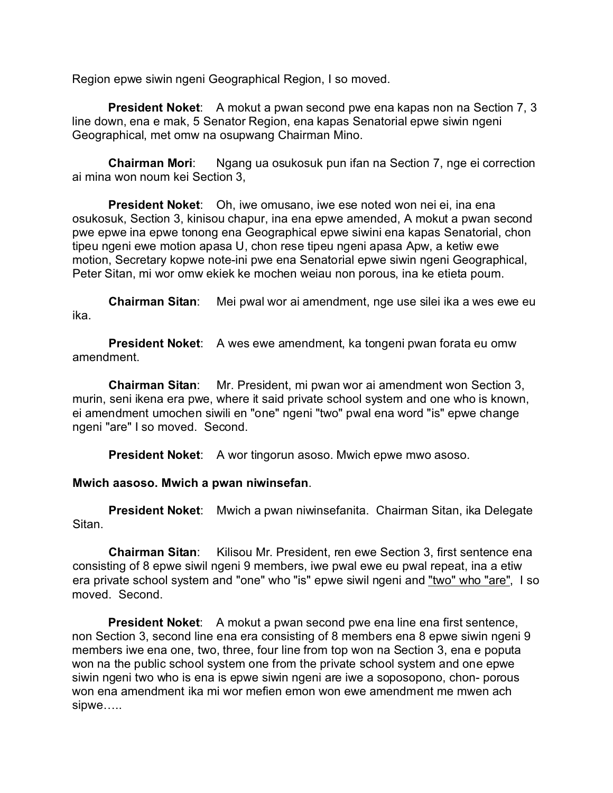Region epwe siwin ngeni Geographical Region, I so moved.

**President Noket**: A mokut a pwan second pwe ena kapas non na Section 7, 3 line down, ena e mak, 5 Senator Region, ena kapas Senatorial epwe siwin ngeni Geographical, met omw na osupwang Chairman Mino.

**Chairman Mori**: Ngang ua osukosuk pun ifan na Section 7, nge ei correction ai mina won noum kei Section 3,

**President Noket**: Oh, iwe omusano, iwe ese noted won nei ei, ina ena osukosuk, Section 3, kinisou chapur, ina ena epwe amended, A mokut a pwan second pwe epwe ina epwe tonong ena Geographical epwe siwini ena kapas Senatorial, chon tipeu ngeni ewe motion apasa U, chon rese tipeu ngeni apasa Apw, a ketiw ewe motion, Secretary kopwe note-ini pwe ena Senatorial epwe siwin ngeni Geographical, Peter Sitan, mi wor omw ekiek ke mochen weiau non porous, ina ke etieta poum.

**Chairman Sitan**: Mei pwal wor ai amendment, nge use silei ika a wes ewe eu ika.

**President Noket:** A wes ewe amendment, ka tongeni pwan forata eu omw amendment.

**Chairman Sitan**: Mr. President, mi pwan wor ai amendment won Section 3, murin, seni ikena era pwe, where it said private school system and one who is known, ei amendment umochen siwili en "one" ngeni "two" pwal ena word "is" epwe change ngeni "are" I so moved. Second.

**President Noket:** A wor tingorun asoso. Mwich epwe mwo asoso.

# **Mwich aasoso. Mwich a pwan niwinsefan**.

**President Noket**: Mwich a pwan niwinsefanita. Chairman Sitan, ika Delegate Sitan.

**Chairman Sitan**: Kilisou Mr. President, ren ewe Section 3, first sentence ena consisting of 8 epwe siwil ngeni 9 members, iwe pwal ewe eu pwal repeat, ina a etiw era private school system and "one" who "is" epwe siwil ngeni and "two" who "are", I so moved. Second.

**President Noket:** A mokut a pwan second pwe ena line ena first sentence, non Section 3, second line ena era consisting of 8 members ena 8 epwe siwin ngeni 9 members iwe ena one, two, three, four line from top won na Section 3, ena e poputa won na the public school system one from the private school system and one epwe siwin ngeni two who is ena is epwe siwin ngeni are iwe a soposopono, chon- porous won ena amendment ika mi wor mefien emon won ewe amendment me mwen ach sipwe…..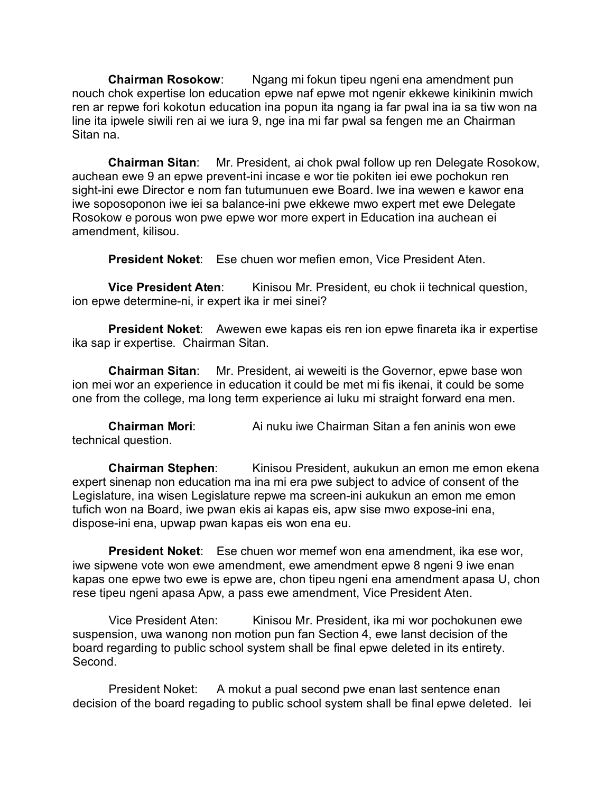**Chairman Rosokow**: Ngang mi fokun tipeu ngeni ena amendment pun nouch chok expertise lon education epwe naf epwe mot ngenir ekkewe kinikinin mwich ren ar repwe fori kokotun education ina popun ita ngang ia far pwal ina ia sa tiw won na line ita ipwele siwili ren ai we iura 9, nge ina mi far pwal sa fengen me an Chairman Sitan na.

**Chairman Sitan**: Mr. President, ai chok pwal follow up ren Delegate Rosokow, auchean ewe 9 an epwe prevent-ini incase e wor tie pokiten iei ewe pochokun ren sight-ini ewe Director e nom fan tutumunuen ewe Board. Iwe ina wewen e kawor ena iwe soposoponon iwe iei sa balance-ini pwe ekkewe mwo expert met ewe Delegate Rosokow e porous won pwe epwe wor more expert in Education ina auchean ei amendment, kilisou.

**President Noket**: Ese chuen wor mefien emon, Vice President Aten.

**Vice President Aten:** Kinisou Mr. President, eu chok ii technical question, ion epwe determine-ni, ir expert ika ir mei sinei?

**President Noket**: Awewen ewe kapas eis ren ion epwe finareta ika ir expertise ika sap ir expertise. Chairman Sitan.

**Chairman Sitan**: Mr. President, ai weweiti is the Governor, epwe base won ion mei wor an experience in education it could be met mi fis ikenai, it could be some one from the college, ma long term experience ai luku mi straight forward ena men.

**Chairman Mori**: Ai nuku iwe Chairman Sitan a fen aninis won ewe technical question.

**Chairman Stephen:** Kinisou President, aukukun an emon me emon ekena expert sinenap non education ma ina mi era pwe subject to advice of consent of the Legislature, ina wisen Legislature repwe ma screen-ini aukukun an emon me emon tufich won na Board, iwe pwan ekis ai kapas eis, apw sise mwo expose-ini ena, dispose-ini ena, upwap pwan kapas eis won ena eu.

**President Noket**: Ese chuen wor memef won ena amendment, ika ese wor, iwe sipwene vote won ewe amendment, ewe amendment epwe 8 ngeni 9 iwe enan kapas one epwe two ewe is epwe are, chon tipeu ngeni ena amendment apasa U, chon rese tipeu ngeni apasa Apw, a pass ewe amendment, Vice President Aten.

Vice President Aten: Kinisou Mr. President, ika mi wor pochokunen ewe suspension, uwa wanong non motion pun fan Section 4, ewe lanst decision of the board regarding to public school system shall be final epwe deleted in its entirety. Second.

President Noket: A mokut a pual second pwe enan last sentence enan decision of the board regading to public school system shall be final epwe deleted. Iei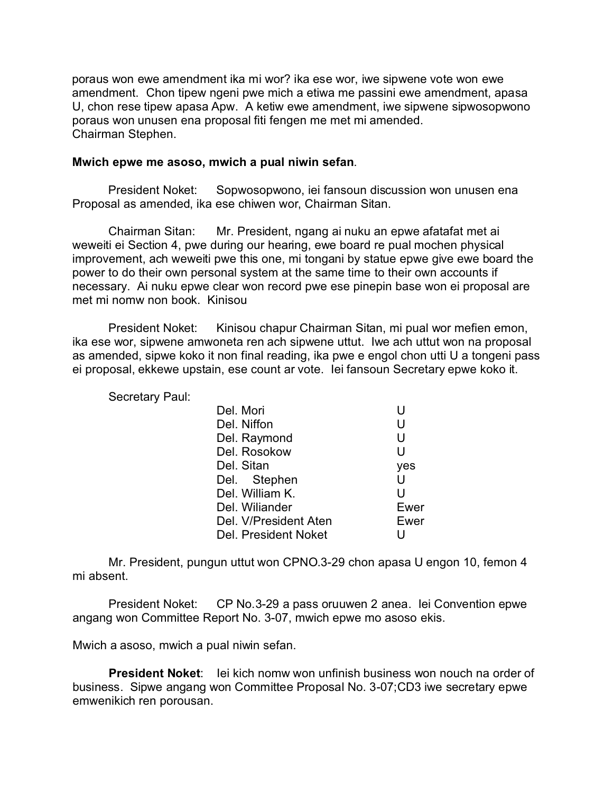poraus won ewe amendment ika mi wor? ika ese wor, iwe sipwene vote won ewe amendment. Chon tipew ngeni pwe mich a etiwa me passini ewe amendment, apasa U, chon rese tipew apasa Apw. A ketiw ewe amendment, iwe sipwene sipwosopwono poraus won unusen ena proposal fiti fengen me met mi amended. Chairman Stephen.

#### **Mwich epwe me asoso, mwich a pual niwin sefan**.

President Noket: Sopwosopwono, iei fansoun discussion won unusen ena Proposal as amended, ika ese chiwen wor, Chairman Sitan.

Chairman Sitan: Mr. President, ngang ai nuku an epwe afatafat met ai weweiti ei Section 4, pwe during our hearing, ewe board re pual mochen physical improvement, ach weweiti pwe this one, mi tongani by statue epwe give ewe board the power to do their own personal system at the same time to their own accounts if necessary. Ai nuku epwe clear won record pwe ese pinepin base won ei proposal are met mi nomw non book. Kinisou

President Noket: Kinisou chapur Chairman Sitan, mi pual wor mefien emon, ika ese wor, sipwene amwoneta ren ach sipwene uttut. Iwe ach uttut won na proposal as amended, sipwe koko it non final reading, ika pwe e engol chon utti U a tongeni pass ei proposal, ekkewe upstain, ese count ar vote. Iei fansoun Secretary epwe koko it.

Secretary Paul:

| Del. Mori       |                       | U    |
|-----------------|-----------------------|------|
| Del. Niffon     |                       | U    |
| Del. Raymond    |                       | U    |
| Del. Rosokow    |                       | U    |
| Del. Sitan      |                       | yes  |
| Del. Stephen    |                       | Ū    |
| Del. William K. |                       | U    |
| Del. Wiliander  |                       | Ewer |
|                 | Del. V/President Aten | Ewer |
|                 | Del. President Noket  | U    |

Mr. President, pungun uttut won CPNO.3-29 chon apasa U engon 10, femon 4 mi absent.

President Noket: CP No.3-29 a pass oruuwen 2 anea. Iei Convention epwe angang won Committee Report No. 3-07, mwich epwe mo asoso ekis.

Mwich a asoso, mwich a pual niwin sefan.

**President Noket:** Iei kich nomw won unfinish business won nouch na order of business. Sipwe angang won Committee Proposal No. 3-07;CD3 iwe secretary epwe emwenikich ren porousan.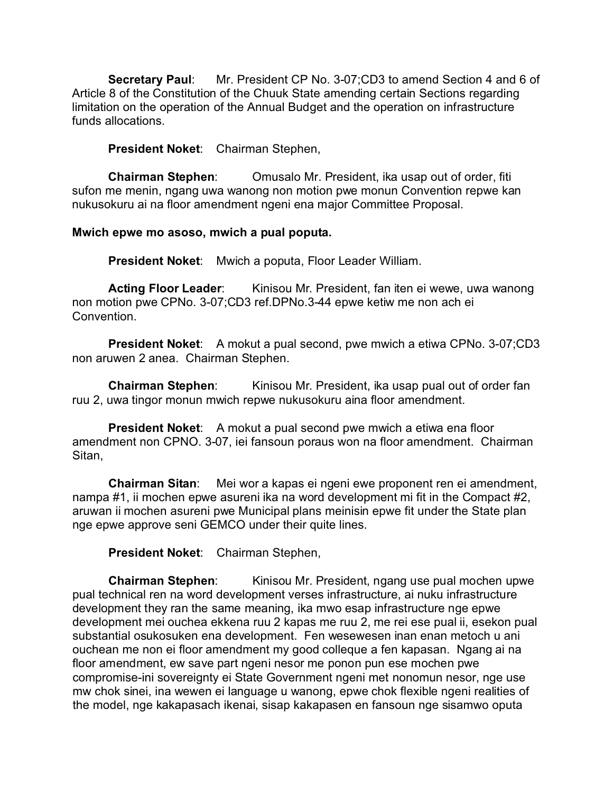**Secretary Paul**: Mr. President CP No. 3-07;CD3 to amend Section 4 and 6 of Article 8 of the Constitution of the Chuuk State amending certain Sections regarding limitation on the operation of the Annual Budget and the operation on infrastructure funds allocations.

**President Noket**: Chairman Stephen,

**Chairman Stephen**: Omusalo Mr. President, ika usap out of order, fiti sufon me menin, ngang uwa wanong non motion pwe monun Convention repwe kan nukusokuru ai na floor amendment ngeni ena major Committee Proposal.

### **Mwich epwe mo asoso, mwich a pual poputa.**

**President Noket**: Mwich a poputa, Floor Leader William.

**Acting Floor Leader:** Kinisou Mr. President, fan iten ei wewe, uwa wanong non motion pwe CPNo. 3-07;CD3 ref.DPNo.3-44 epwe ketiw me non ach ei Convention.

**President Noket:** A mokut a pual second, pwe mwich a etiwa CPNo. 3-07;CD3 non aruwen 2 anea. Chairman Stephen.

**Chairman Stephen:** Kinisou Mr. President, ika usap pual out of order fan ruu 2, uwa tingor monun mwich repwe nukusokuru aina floor amendment.

**President Noket:** A mokut a pual second pwe mwich a etiwa ena floor amendment non CPNO. 3-07, iei fansoun poraus won na floor amendment. Chairman Sitan,

**Chairman Sitan**: Mei wor a kapas ei ngeni ewe proponent ren ei amendment, nampa #1, ii mochen epwe asureni ika na word development mi fit in the Compact #2, aruwan ii mochen asureni pwe Municipal plans meinisin epwe fit under the State plan nge epwe approve seni GEMCO under their quite lines.

**President Noket**: Chairman Stephen,

**Chairman Stephen**: Kinisou Mr. President, ngang use pual mochen upwe pual technical ren na word development verses infrastructure, ai nuku infrastructure development they ran the same meaning, ika mwo esap infrastructure nge epwe development mei ouchea ekkena ruu 2 kapas me ruu 2, me rei ese pual ii, esekon pual substantial osukosuken ena development. Fen wesewesen inan enan metoch u ani ouchean me non ei floor amendment my good colleque a fen kapasan. Ngang ai na floor amendment, ew save part ngeni nesor me ponon pun ese mochen pwe compromise-ini sovereignty ei State Government ngeni met nonomun nesor, nge use mw chok sinei, ina wewen ei language u wanong, epwe chok flexible ngeni realities of the model, nge kakapasach ikenai, sisap kakapasen en fansoun nge sisamwo oputa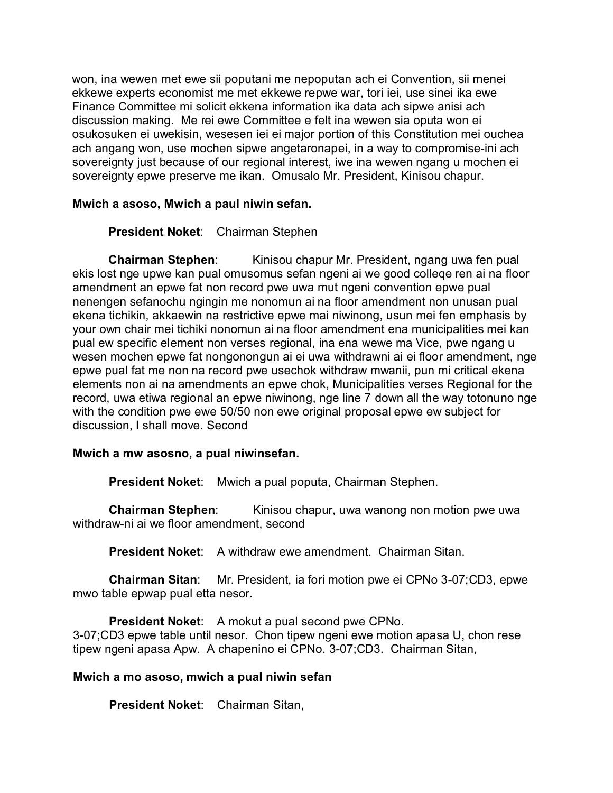won, ina wewen met ewe sii poputani me nepoputan ach ei Convention, sii menei ekkewe experts economist me met ekkewe repwe war, tori iei, use sinei ika ewe Finance Committee mi solicit ekkena information ika data ach sipwe anisi ach discussion making. Me rei ewe Committee e felt ina wewen sia oputa won ei osukosuken ei uwekisin, wesesen iei ei major portion of this Constitution mei ouchea ach angang won, use mochen sipwe angetaronapei, in a way to compromise-ini ach sovereignty just because of our regional interest, iwe ina wewen ngang u mochen ei sovereignty epwe preserve me ikan. Omusalo Mr. President, Kinisou chapur.

## **Mwich a asoso, Mwich a paul niwin sefan.**

**President Noket**: Chairman Stephen

**Chairman Stephen**: Kinisou chapur Mr. President, ngang uwa fen pual ekis lost nge upwe kan pual omusomus sefan ngeni ai we good colleqe ren ai na floor amendment an epwe fat non record pwe uwa mut ngeni convention epwe pual nenengen sefanochu ngingin me nonomun ai na floor amendment non unusan pual ekena tichikin, akkaewin na restrictive epwe mai niwinong, usun mei fen emphasis by your own chair mei tichiki nonomun ai na floor amendment ena municipalities mei kan pual ew specific element non verses regional, ina ena wewe ma Vice, pwe ngang u wesen mochen epwe fat nongonongun ai ei uwa withdrawni ai ei floor amendment, nge epwe pual fat me non na record pwe usechok withdraw mwanii, pun mi critical ekena elements non ai na amendments an epwe chok, Municipalities verses Regional for the record, uwa etiwa regional an epwe niwinong, nge line 7 down all the way totonuno nge with the condition pwe ewe 50/50 non ewe original proposal epwe ew subject for discussion, I shall move. Second

### **Mwich a mw asosno, a pual niwinsefan.**

**President Noket**: Mwich a pual poputa, Chairman Stephen.

**Chairman Stephen:** Kinisou chapur, uwa wanong non motion pwe uwa withdraw-ni ai we floor amendment, second

**President Noket:** A withdraw ewe amendment. Chairman Sitan.

**Chairman Sitan**: Mr. President, ia fori motion pwe ei CPNo 3-07;CD3, epwe mwo table epwap pual etta nesor.

**President Noket:** A mokut a pual second pwe CPNo. 3-07;CD3 epwe table until nesor. Chon tipew ngeni ewe motion apasa U, chon rese tipew ngeni apasa Apw. A chapenino ei CPNo. 3-07;CD3. Chairman Sitan,

# **Mwich a mo asoso, mwich a pual niwin sefan**

**President Noket**: Chairman Sitan,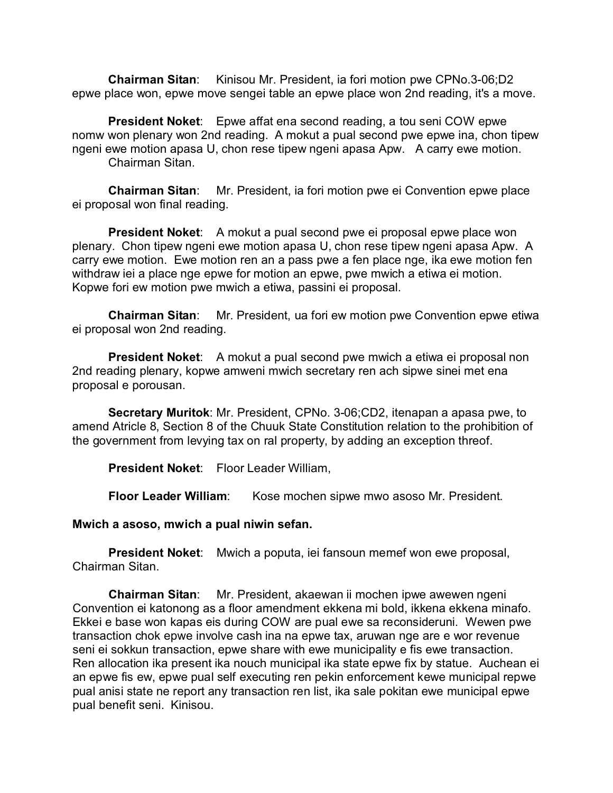**Chairman Sitan**: Kinisou Mr. President, ia fori motion pwe CPNo.3-06;D2 epwe place won, epwe move sengei table an epwe place won 2nd reading, it's a move.

**President Noket**: Epwe affat ena second reading, a tou seni COW epwe nomw won plenary won 2nd reading. A mokut a pual second pwe epwe ina, chon tipew ngeni ewe motion apasa U, chon rese tipew ngeni apasa Apw. A carry ewe motion. Chairman Sitan.

**Chairman Sitan**: Mr. President, ia fori motion pwe ei Convention epwe place ei proposal won final reading.

**President Noket**: A mokut a pual second pwe ei proposal epwe place won plenary. Chon tipew ngeni ewe motion apasa U, chon rese tipew ngeni apasa Apw. A carry ewe motion. Ewe motion ren an a pass pwe a fen place nge, ika ewe motion fen withdraw iei a place nge epwe for motion an epwe, pwe mwich a etiwa ei motion. Kopwe fori ew motion pwe mwich a etiwa, passini ei proposal.

**Chairman Sitan**: Mr. President, ua fori ew motion pwe Convention epwe etiwa ei proposal won 2nd reading.

**President Noket:** A mokut a pual second pwe mwich a etiwa ei proposal non 2nd reading plenary, kopwe amweni mwich secretary ren ach sipwe sinei met ena proposal e porousan.

**Secretary Muritok**: Mr. President, CPNo. 3-06;CD2, itenapan a apasa pwe, to amend Atricle 8, Section 8 of the Chuuk State Constitution relation to the prohibition of the government from levying tax on ral property, by adding an exception threof.

**President Noket**: Floor Leader William,

**Floor Leader William:** Kose mochen sipwe mwo asoso Mr. President.

**Mwich a asoso, mwich a pual niwin sefan.**

**President Noket**: Mwich a poputa, iei fansoun memef won ewe proposal, Chairman Sitan.

**Chairman Sitan**: Mr. President, akaewan ii mochen ipwe awewen ngeni Convention ei katonong as a floor amendment ekkena mi bold, ikkena ekkena minafo. Ekkei e base won kapas eis during COW are pual ewe sa reconsideruni. Wewen pwe transaction chok epwe involve cash ina na epwe tax, aruwan nge are e wor revenue seni ei sokkun transaction, epwe share with ewe municipality e fis ewe transaction. Ren allocation ika present ika nouch municipal ika state epwe fix by statue. Auchean ei an epwe fis ew, epwe pual self executing ren pekin enforcement kewe municipal repwe pual anisi state ne report any transaction ren list, ika sale pokitan ewe municipal epwe pual benefit seni. Kinisou.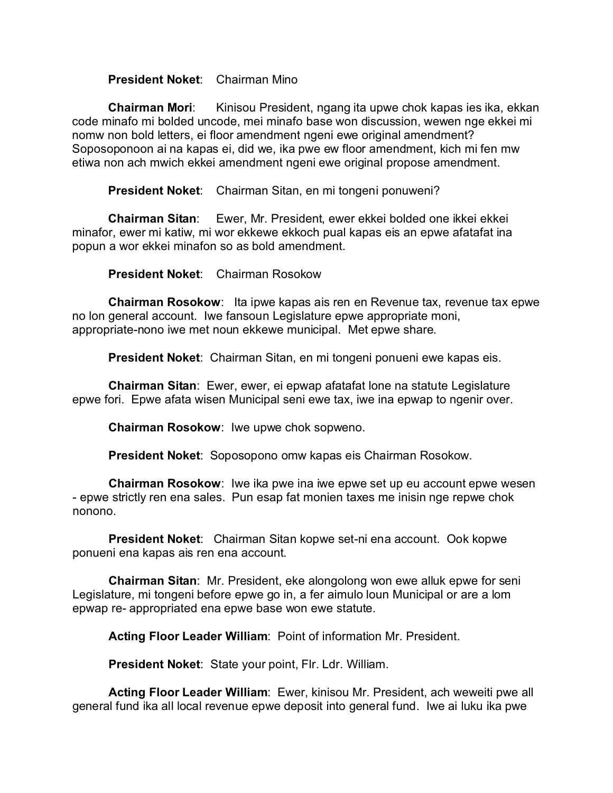## **President Noket**: Chairman Mino

**Chairman Mori**: Kinisou President, ngang ita upwe chok kapas ies ika, ekkan code minafo mi bolded uncode, mei minafo base won discussion, wewen nge ekkei mi nomw non bold letters, ei floor amendment ngeni ewe original amendment? Soposoponoon ai na kapas ei, did we, ika pwe ew floor amendment, kich mi fen mw etiwa non ach mwich ekkei amendment ngeni ewe original propose amendment.

**President Noket**: Chairman Sitan, en mi tongeni ponuweni?

**Chairman Sitan**: Ewer, Mr. President, ewer ekkei bolded one ikkei ekkei minafor, ewer mi katiw, mi wor ekkewe ekkoch pual kapas eis an epwe afatafat ina popun a wor ekkei minafon so as bold amendment.

**President Noket**: Chairman Rosokow

**Chairman Rosokow**: Ita ipwe kapas ais ren en Revenue tax, revenue tax epwe no lon general account. Iwe fansoun Legislature epwe appropriate moni, appropriate-nono iwe met noun ekkewe municipal. Met epwe share.

**President Noket**: Chairman Sitan, en mi tongeni ponueni ewe kapas eis.

**Chairman Sitan**: Ewer, ewer, ei epwap afatafat lone na statute Legislature epwe fori. Epwe afata wisen Municipal seni ewe tax, iwe ina epwap to ngenir over.

**Chairman Rosokow**: Iwe upwe chok sopweno.

**President Noket**: Soposopono omw kapas eis Chairman Rosokow.

**Chairman Rosokow**: Iwe ika pwe ina iwe epwe set up eu account epwe wesen - epwe strictly ren ena sales. Pun esap fat monien taxes me inisin nge repwe chok nonono.

**President Noket**: Chairman Sitan kopwe set-ni ena account. Ook kopwe ponueni ena kapas ais ren ena account.

**Chairman Sitan**: Mr. President, eke alongolong won ewe alluk epwe for seni Legislature, mi tongeni before epwe go in, a fer aimulo loun Municipal or are a lom epwap re- appropriated ena epwe base won ewe statute.

**Acting Floor Leader William**: Point of information Mr. President.

**President Noket**: State your point, Flr. Ldr. William.

**Acting Floor Leader William**: Ewer, kinisou Mr. President, ach weweiti pwe all general fund ika all local revenue epwe deposit into general fund. Iwe ai luku ika pwe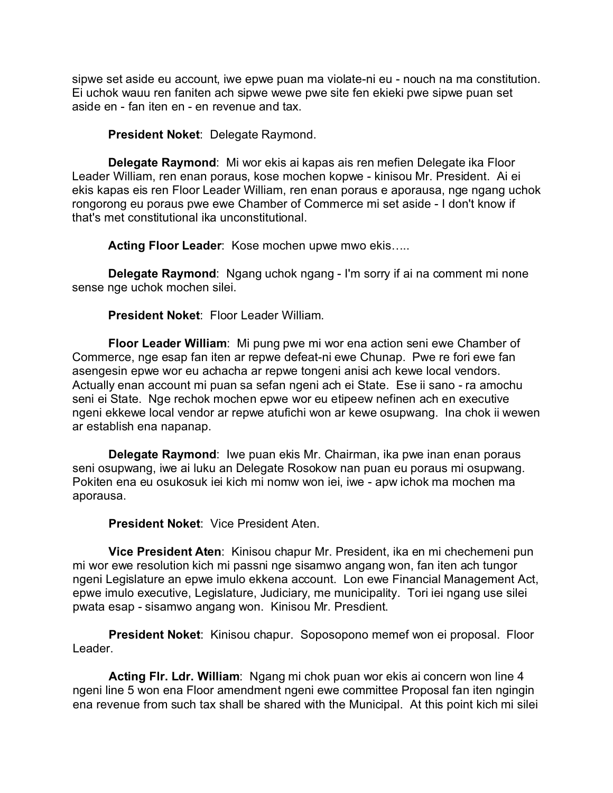sipwe set aside eu account, iwe epwe puan ma violate-ni eu - nouch na ma constitution. Ei uchok wauu ren faniten ach sipwe wewe pwe site fen ekieki pwe sipwe puan set aside en - fan iten en - en revenue and tax.

**President Noket**: Delegate Raymond.

**Delegate Raymond**: Mi wor ekis ai kapas ais ren mefien Delegate ika Floor Leader William, ren enan poraus, kose mochen kopwe - kinisou Mr. President. Ai ei ekis kapas eis ren Floor Leader William, ren enan poraus e aporausa, nge ngang uchok rongorong eu poraus pwe ewe Chamber of Commerce mi set aside - I don't know if that's met constitutional ika unconstitutional.

**Acting Floor Leader**: Kose mochen upwe mwo ekis…..

**Delegate Raymond**: Ngang uchok ngang - I'm sorry if ai na comment mi none sense nge uchok mochen silei.

**President Noket**: Floor Leader William.

**Floor Leader William**: Mi pung pwe mi wor ena action seni ewe Chamber of Commerce, nge esap fan iten ar repwe defeat-ni ewe Chunap. Pwe re fori ewe fan asengesin epwe wor eu achacha ar repwe tongeni anisi ach kewe local vendors. Actually enan account mi puan sa sefan ngeni ach ei State. Ese ii sano - ra amochu seni ei State. Nge rechok mochen epwe wor eu etipeew nefinen ach en executive ngeni ekkewe local vendor ar repwe atufichi won ar kewe osupwang. Ina chok ii wewen ar establish ena napanap.

**Delegate Raymond**: Iwe puan ekis Mr. Chairman, ika pwe inan enan poraus seni osupwang, iwe ai luku an Delegate Rosokow nan puan eu poraus mi osupwang. Pokiten ena eu osukosuk iei kich mi nomw won iei, iwe - apw ichok ma mochen ma aporausa.

**President Noket**: Vice President Aten.

**Vice President Aten**: Kinisou chapur Mr. President, ika en mi chechemeni pun mi wor ewe resolution kich mi passni nge sisamwo angang won, fan iten ach tungor ngeni Legislature an epwe imulo ekkena account. Lon ewe Financial Management Act, epwe imulo executive, Legislature, Judiciary, me municipality. Tori iei ngang use silei pwata esap - sisamwo angang won. Kinisou Mr. Presdient.

**President Noket**: Kinisou chapur. Soposopono memef won ei proposal. Floor Leader.

**Acting Flr. Ldr. William**: Ngang mi chok puan wor ekis ai concern won line 4 ngeni line 5 won ena Floor amendment ngeni ewe committee Proposal fan iten ngingin ena revenue from such tax shall be shared with the Municipal. At this point kich mi silei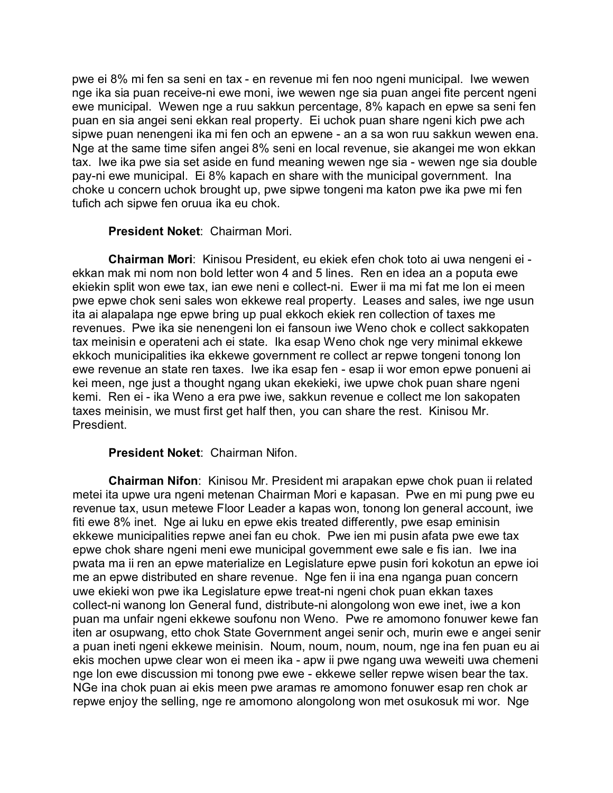pwe ei 8% mi fen sa seni en tax - en revenue mi fen noo ngeni municipal. Iwe wewen nge ika sia puan receive-ni ewe moni, iwe wewen nge sia puan angei fite percent ngeni ewe municipal. Wewen nge a ruu sakkun percentage, 8% kapach en epwe sa seni fen puan en sia angei seni ekkan real property. Ei uchok puan share ngeni kich pwe ach sipwe puan nenengeni ika mi fen och an epwene - an a sa won ruu sakkun wewen ena. Nge at the same time sifen angei 8% seni en local revenue, sie akangei me won ekkan tax. Iwe ika pwe sia set aside en fund meaning wewen nge sia - wewen nge sia double pay-ni ewe municipal. Ei 8% kapach en share with the municipal government. Ina choke u concern uchok brought up, pwe sipwe tongeni ma katon pwe ika pwe mi fen tufich ach sipwe fen oruua ika eu chok.

### **President Noket**: Chairman Mori.

**Chairman Mori**: Kinisou President, eu ekiek efen chok toto ai uwa nengeni ei ekkan mak mi nom non bold letter won 4 and 5 lines. Ren en idea an a poputa ewe ekiekin split won ewe tax, ian ewe neni e collect-ni. Ewer ii ma mi fat me lon ei meen pwe epwe chok seni sales won ekkewe real property. Leases and sales, iwe nge usun ita ai alapalapa nge epwe bring up pual ekkoch ekiek ren collection of taxes me revenues. Pwe ika sie nenengeni lon ei fansoun iwe Weno chok e collect sakkopaten tax meinisin e operateni ach ei state. Ika esap Weno chok nge very minimal ekkewe ekkoch municipalities ika ekkewe government re collect ar repwe tongeni tonong lon ewe revenue an state ren taxes. Iwe ika esap fen - esap ii wor emon epwe ponueni ai kei meen, nge just a thought ngang ukan ekekieki, iwe upwe chok puan share ngeni kemi. Ren ei - ika Weno a era pwe iwe, sakkun revenue e collect me lon sakopaten taxes meinisin, we must first get half then, you can share the rest. Kinisou Mr. Presdient.

# **President Noket**: Chairman Nifon.

**Chairman Nifon**: Kinisou Mr. President mi arapakan epwe chok puan ii related metei ita upwe ura ngeni metenan Chairman Mori e kapasan. Pwe en mi pung pwe eu revenue tax, usun metewe Floor Leader a kapas won, tonong lon general account, iwe fiti ewe 8% inet. Nge ai luku en epwe ekis treated differently, pwe esap eminisin ekkewe municipalities repwe anei fan eu chok. Pwe ien mi pusin afata pwe ewe tax epwe chok share ngeni meni ewe municipal government ewe sale e fis ian. Iwe ina pwata ma ii ren an epwe materialize en Legislature epwe pusin fori kokotun an epwe ioi me an epwe distributed en share revenue. Nge fen ii ina ena nganga puan concern uwe ekieki won pwe ika Legislature epwe treat-ni ngeni chok puan ekkan taxes collect-ni wanong lon General fund, distribute-ni alongolong won ewe inet, iwe a kon puan ma unfair ngeni ekkewe soufonu non Weno. Pwe re amomono fonuwer kewe fan iten ar osupwang, etto chok State Government angei senir och, murin ewe e angei senir a puan ineti ngeni ekkewe meinisin. Noum, noum, noum, noum, nge ina fen puan eu ai ekis mochen upwe clear won ei meen ika - apw ii pwe ngang uwa weweiti uwa chemeni nge lon ewe discussion mi tonong pwe ewe - ekkewe seller repwe wisen bear the tax. NGe ina chok puan ai ekis meen pwe aramas re amomono fonuwer esap ren chok ar repwe enjoy the selling, nge re amomono alongolong won met osukosuk mi wor. Nge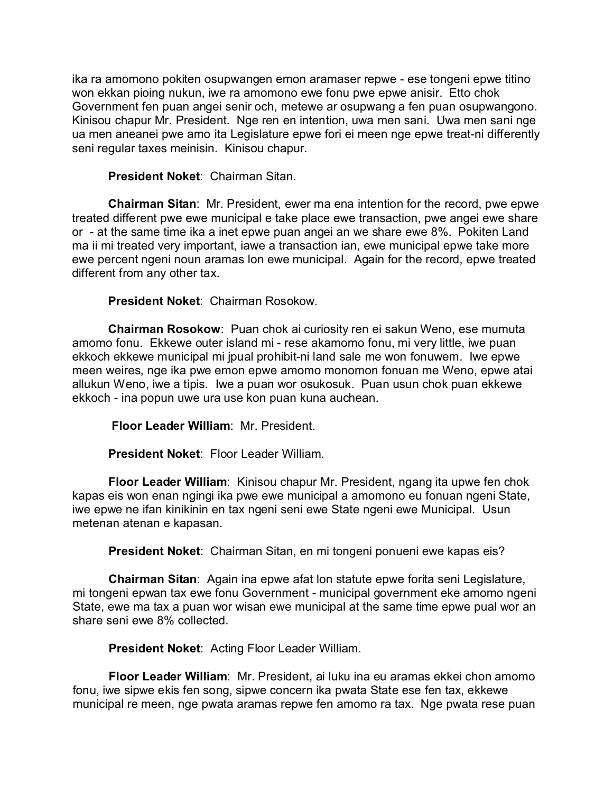ika ra amomono pokiten osupwangen emon aramaser repwe - ese tongeni epwe titino won ekkan pioing nukun, iwe ra amomono ewe fonu pwe epwe anisir. Etto chok Government fen puan angei senir och, metewe ar osupwang a fen puan osupwangono. Kinisou chapur Mr. President. Nge ren en intention, uwa men sani. Uwa men sani nge ua men aneanei pwe amo ita Legislature epwe fori ei meen nge epwe treat-ni differently seni regular taxes meinisin. Kinisou chapur.

**President Noket**: Chairman Sitan.

**Chairman Sitan**: Mr. President, ewer ma ena intention for the record, pwe epwe treated different pwe ewe municipal e take place ewe transaction, pwe angei ewe share or - at the same time ika a inet epwe puan angei an we share ewe 8%. Pokiten Land ma ii mi treated very important, iawe a transaction ian, ewe municipal epwe take more ewe percent ngeni noun aramas lon ewe municipal. Again for the record, epwe treated different from any other tax.

**President Noket**: Chairman Rosokow.

**Chairman Rosokow**: Puan chok ai curiosity ren ei sakun Weno, ese mumuta amomo fonu. Ekkewe outer island mi - rese akamomo fonu, mi very little, iwe puan ekkoch ekkewe municipal mi jpual prohibit-ni land sale me won fonuwem. Iwe epwe meen weires, nge ika pwe emon epwe amomo monomon fonuan me Weno, epwe atai allukun Weno, iwe a tipis. Iwe a puan wor osukosuk. Puan usun chok puan ekkewe ekkoch - ina popun uwe ura use kon puan kuna auchean.

**Floor Leader William**: Mr. President.

**President Noket**: Floor Leader William.

**Floor Leader William**: Kinisou chapur Mr. President, ngang ita upwe fen chok kapas eis won enan ngingi ika pwe ewe municipal a amomono eu fonuan ngeni State, iwe epwe ne ifan kinikinin en tax ngeni seni ewe State ngeni ewe Municipal. Usun metenan atenan e kapasan.

**President Noket**: Chairman Sitan, en mi tongeni ponueni ewe kapas eis?

**Chairman Sitan**: Again ina epwe afat lon statute epwe forita seni Legislature, mi tongeni epwan tax ewe fonu Government - municipal government eke amomo ngeni State, ewe ma tax a puan wor wisan ewe municipal at the same time epwe pual wor an share seni ewe 8% collected.

**President Noket**: Acting Floor Leader William.

**Floor Leader William**: Mr. President, ai luku ina eu aramas ekkei chon amomo fonu, iwe sipwe ekis fen song, sipwe concern ika pwata State ese fen tax, ekkewe municipal re meen, nge pwata aramas repwe fen amomo ra tax. Nge pwata rese puan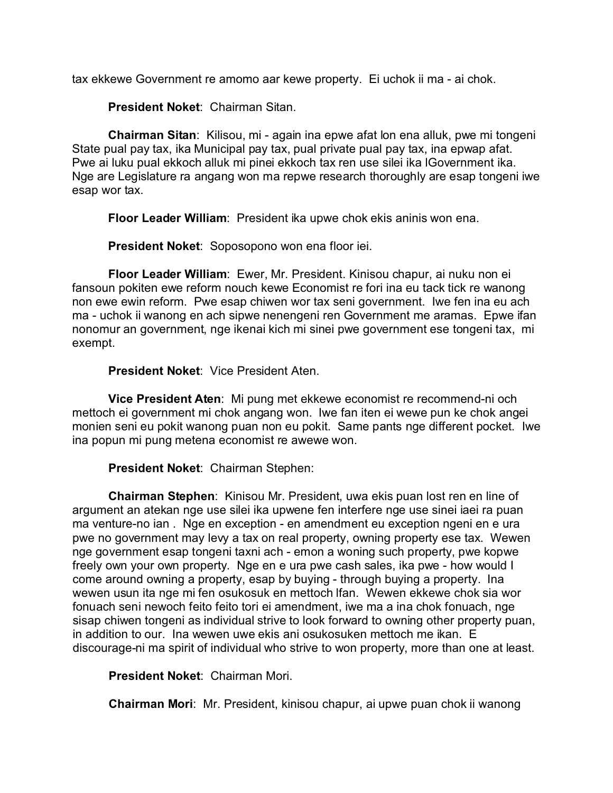tax ekkewe Government re amomo aar kewe property. Ei uchok ii ma - ai chok.

**President Noket**: Chairman Sitan.

**Chairman Sitan**: Kilisou, mi - again ina epwe afat lon ena alluk, pwe mi tongeni State pual pay tax, ika Municipal pay tax, pual private pual pay tax, ina epwap afat. Pwe ai luku pual ekkoch alluk mi pinei ekkoch tax ren use silei ika lGovernment ika. Nge are Legislature ra angang won ma repwe research thoroughly are esap tongeni iwe esap wor tax.

**Floor Leader William**: President ika upwe chok ekis aninis won ena.

**President Noket**: Soposopono won ena floor iei.

**Floor Leader William**: Ewer, Mr. President. Kinisou chapur, ai nuku non ei fansoun pokiten ewe reform nouch kewe Economist re fori ina eu tack tick re wanong non ewe ewin reform. Pwe esap chiwen wor tax seni government. Iwe fen ina eu ach ma - uchok ii wanong en ach sipwe nenengeni ren Government me aramas. Epwe ifan nonomur an government, nge ikenai kich mi sinei pwe government ese tongeni tax, mi exempt.

# **President Noket**: Vice President Aten.

**Vice President Aten**: Mi pung met ekkewe economist re recommend-ni och mettoch ei government mi chok angang won. Iwe fan iten ei wewe pun ke chok angei monien seni eu pokit wanong puan non eu pokit. Same pants nge different pocket. Iwe ina popun mi pung metena economist re awewe won.

**President Noket**: Chairman Stephen:

**Chairman Stephen**: Kinisou Mr. President, uwa ekis puan lost ren en line of argument an atekan nge use silei ika upwene fen interfere nge use sinei iaei ra puan ma venture-no ian . Nge en exception - en amendment eu exception ngeni en e ura pwe no government may levy a tax on real property, owning property ese tax. Wewen nge government esap tongeni taxni ach - emon a woning such property, pwe kopwe freely own your own property. Nge en e ura pwe cash sales, ika pwe - how would I come around owning a property, esap by buying - through buying a property. Ina wewen usun ita nge mi fen osukosuk en mettoch lfan. Wewen ekkewe chok sia wor fonuach seni newoch feito feito tori ei amendment, iwe ma a ina chok fonuach, nge sisap chiwen tongeni as individual strive to look forward to owning other property puan, in addition to our. Ina wewen uwe ekis ani osukosuken mettoch me ikan. E discourage-ni ma spirit of individual who strive to won property, more than one at least.

**President Noket**: Chairman Mori.

**Chairman Mori**: Mr. President, kinisou chapur, ai upwe puan chok ii wanong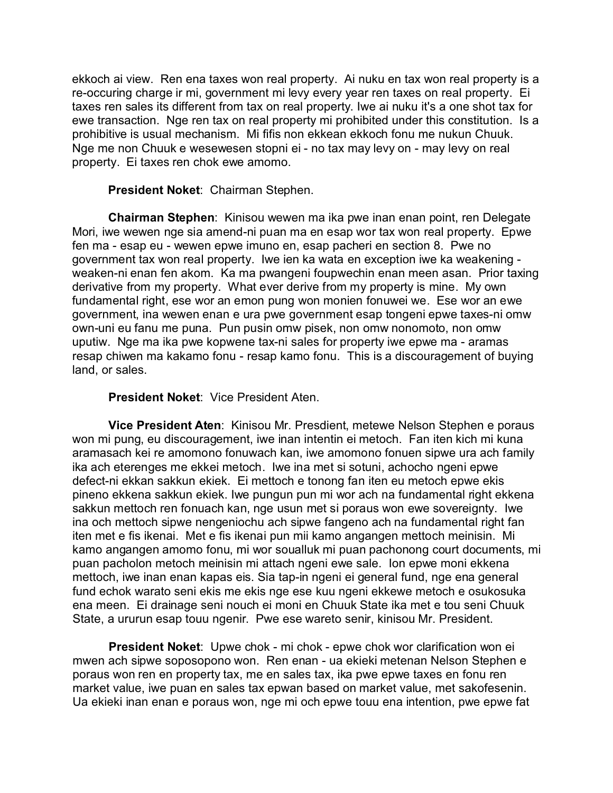ekkoch ai view. Ren ena taxes won real property. Ai nuku en tax won real property is a re-occuring charge ir mi, government mi levy every year ren taxes on real property. Ei taxes ren sales its different from tax on real property. Iwe ai nuku it's a one shot tax for ewe transaction. Nge ren tax on real property mi prohibited under this constitution. Is a prohibitive is usual mechanism. Mi fifis non ekkean ekkoch fonu me nukun Chuuk. Nge me non Chuuk e wesewesen stopni ei - no tax may levy on - may levy on real property. Ei taxes ren chok ewe amomo.

### **President Noket**: Chairman Stephen.

**Chairman Stephen**: Kinisou wewen ma ika pwe inan enan point, ren Delegate Mori, iwe wewen nge sia amend-ni puan ma en esap wor tax won real property. Epwe fen ma - esap eu - wewen epwe imuno en, esap pacheri en section 8. Pwe no government tax won real property. Iwe ien ka wata en exception iwe ka weakening weaken-ni enan fen akom. Ka ma pwangeni foupwechin enan meen asan. Prior taxing derivative from my property. What ever derive from my property is mine. My own fundamental right, ese wor an emon pung won monien fonuwei we. Ese wor an ewe government, ina wewen enan e ura pwe government esap tongeni epwe taxes-ni omw own-uni eu fanu me puna. Pun pusin omw pisek, non omw nonomoto, non omw uputiw. Nge ma ika pwe kopwene tax-ni sales for property iwe epwe ma - aramas resap chiwen ma kakamo fonu - resap kamo fonu. This is a discouragement of buying land, or sales.

### **President Noket**: Vice President Aten.

**Vice President Aten**: Kinisou Mr. Presdient, metewe Nelson Stephen e poraus won mi pung, eu discouragement, iwe inan intentin ei metoch. Fan iten kich mi kuna aramasach kei re amomono fonuwach kan, iwe amomono fonuen sipwe ura ach family ika ach eterenges me ekkei metoch. Iwe ina met si sotuni, achocho ngeni epwe defect-ni ekkan sakkun ekiek. Ei mettoch e tonong fan iten eu metoch epwe ekis pineno ekkena sakkun ekiek. Iwe pungun pun mi wor ach na fundamental right ekkena sakkun mettoch ren fonuach kan, nge usun met si poraus won ewe sovereignty. Iwe ina och mettoch sipwe nengeniochu ach sipwe fangeno ach na fundamental right fan iten met e fis ikenai. Met e fis ikenai pun mii kamo angangen mettoch meinisin. Mi kamo angangen amomo fonu, mi wor soualluk mi puan pachonong court documents, mi puan pacholon metoch meinisin mi attach ngeni ewe sale. Ion epwe moni ekkena mettoch, iwe inan enan kapas eis. Sia tap-in ngeni ei general fund, nge ena general fund echok warato seni ekis me ekis nge ese kuu ngeni ekkewe metoch e osukosuka ena meen. Ei drainage seni nouch ei moni en Chuuk State ika met e tou seni Chuuk State, a ururun esap touu ngenir. Pwe ese wareto senir, kinisou Mr. President.

**President Noket**: Upwe chok - mi chok - epwe chok wor clarification won ei mwen ach sipwe soposopono won. Ren enan - ua ekieki metenan Nelson Stephen e poraus won ren en property tax, me en sales tax, ika pwe epwe taxes en fonu ren market value, iwe puan en sales tax epwan based on market value, met sakofesenin. Ua ekieki inan enan e poraus won, nge mi och epwe touu ena intention, pwe epwe fat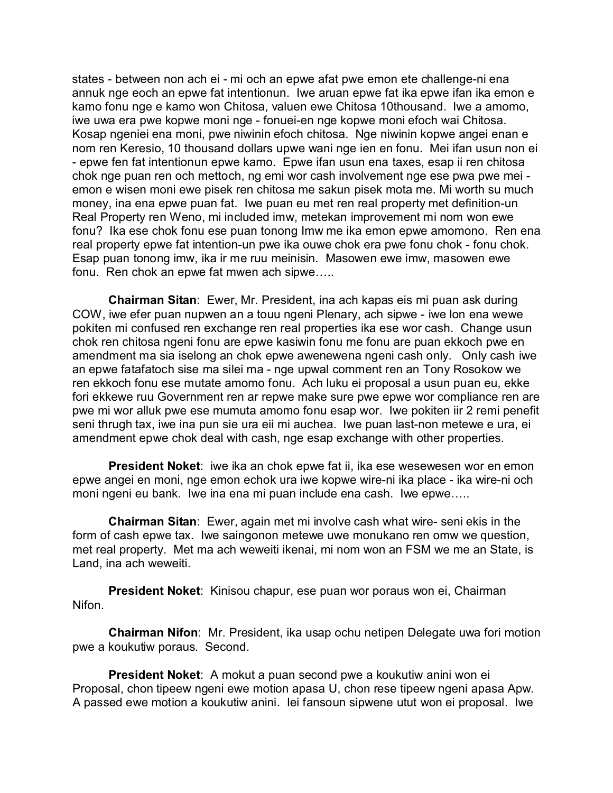states - between non ach ei - mi och an epwe afat pwe emon ete challenge-ni ena annuk nge eoch an epwe fat intentionun. Iwe aruan epwe fat ika epwe ifan ika emon e kamo fonu nge e kamo won Chitosa, valuen ewe Chitosa 10thousand. Iwe a amomo, iwe uwa era pwe kopwe moni nge - fonuei-en nge kopwe moni efoch wai Chitosa. Kosap ngeniei ena moni, pwe niwinin efoch chitosa. Nge niwinin kopwe angei enan e nom ren Keresio, 10 thousand dollars upwe wani nge ien en fonu. Mei ifan usun non ei - epwe fen fat intentionun epwe kamo. Epwe ifan usun ena taxes, esap ii ren chitosa chok nge puan ren och mettoch, ng emi wor cash involvement nge ese pwa pwe mei emon e wisen moni ewe pisek ren chitosa me sakun pisek mota me. Mi worth su much money, ina ena epwe puan fat. Iwe puan eu met ren real property met definition-un Real Property ren Weno, mi included imw, metekan improvement mi nom won ewe fonu? Ika ese chok fonu ese puan tonong Imw me ika emon epwe amomono. Ren ena real property epwe fat intention-un pwe ika ouwe chok era pwe fonu chok - fonu chok. Esap puan tonong imw, ika ir me ruu meinisin. Masowen ewe imw, masowen ewe fonu. Ren chok an epwe fat mwen ach sipwe…..

**Chairman Sitan**: Ewer, Mr. President, ina ach kapas eis mi puan ask during COW, iwe efer puan nupwen an a touu ngeni Plenary, ach sipwe - iwe lon ena wewe pokiten mi confused ren exchange ren real properties ika ese wor cash. Change usun chok ren chitosa ngeni fonu are epwe kasiwin fonu me fonu are puan ekkoch pwe en amendment ma sia iselong an chok epwe awenewena ngeni cash only. Only cash iwe an epwe fatafatoch sise ma silei ma - nge upwal comment ren an Tony Rosokow we ren ekkoch fonu ese mutate amomo fonu. Ach luku ei proposal a usun puan eu, ekke fori ekkewe ruu Government ren ar repwe make sure pwe epwe wor compliance ren are pwe mi wor alluk pwe ese mumuta amomo fonu esap wor. Iwe pokiten iir 2 remi penefit seni thrugh tax, iwe ina pun sie ura eii mi auchea. Iwe puan last-non metewe e ura, ei amendment epwe chok deal with cash, nge esap exchange with other properties.

**President Noket**: iwe ika an chok epwe fat ii, ika ese wesewesen wor en emon epwe angei en moni, nge emon echok ura iwe kopwe wire-ni ika place - ika wire-ni och moni ngeni eu bank. Iwe ina ena mi puan include ena cash. Iwe epwe…..

**Chairman Sitan**: Ewer, again met mi involve cash what wire- seni ekis in the form of cash epwe tax. Iwe saingonon metewe uwe monukano ren omw we question, met real property. Met ma ach weweiti ikenai, mi nom won an FSM we me an State, is Land, ina ach weweiti.

**President Noket**: Kinisou chapur, ese puan wor poraus won ei, Chairman Nifon.

**Chairman Nifon**: Mr. President, ika usap ochu netipen Delegate uwa fori motion pwe a koukutiw poraus. Second.

**President Noket**: A mokut a puan second pwe a koukutiw anini won ei Proposal, chon tipeew ngeni ewe motion apasa U, chon rese tipeew ngeni apasa Apw. A passed ewe motion a koukutiw anini. Iei fansoun sipwene utut won ei proposal. Iwe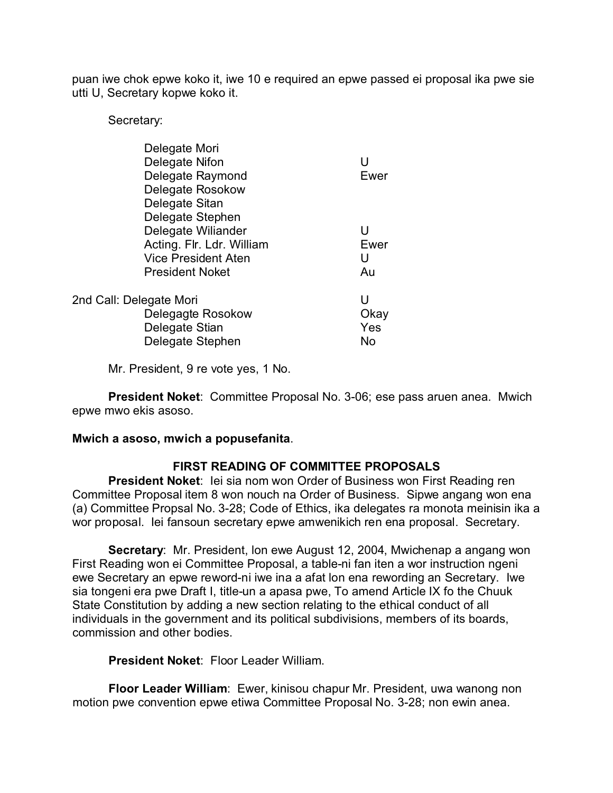puan iwe chok epwe koko it, iwe 10 e required an epwe passed ei proposal ika pwe sie utti U, Secretary kopwe koko it.

Secretary:

|                         | Delegate Mori              |      |
|-------------------------|----------------------------|------|
|                         | Delegate Nifon             | U    |
|                         | Delegate Raymond           | Ewer |
|                         | Delegate Rosokow           |      |
|                         | Delegate Sitan             |      |
|                         | Delegate Stephen           |      |
|                         | Delegate Wiliander         | U    |
|                         | Acting. Flr. Ldr. William  | Ewer |
|                         | <b>Vice President Aten</b> | U    |
|                         | <b>President Noket</b>     | Au   |
|                         |                            |      |
| 2nd Call: Delegate Mori |                            | U    |
|                         | Delegagte Rosokow          | Okay |
|                         | Delegate Stian             | Yes  |
|                         | Delegate Stephen           | No   |
|                         |                            |      |

Mr. President, 9 re vote yes, 1 No.

**President Noket**: Committee Proposal No. 3-06; ese pass aruen anea. Mwich epwe mwo ekis asoso.

### **Mwich a asoso, mwich a popusefanita**.

# **FIRST READING OF COMMITTEE PROPOSALS**

**President Noket**: Iei sia nom won Order of Business won First Reading ren Committee Proposal item 8 won nouch na Order of Business. Sipwe angang won ena (a) Committee Propsal No. 3-28; Code of Ethics, ika delegates ra monota meinisin ika a wor proposal. Iei fansoun secretary epwe amwenikich ren ena proposal. Secretary.

**Secretary**: Mr. President, lon ewe August 12, 2004, Mwichenap a angang won First Reading won ei Committee Proposal, a table-ni fan iten a wor instruction ngeni ewe Secretary an epwe reword-ni iwe ina a afat lon ena rewording an Secretary. Iwe sia tongeni era pwe Draft I, title-un a apasa pwe, To amend Article IX fo the Chuuk State Constitution by adding a new section relating to the ethical conduct of all individuals in the government and its political subdivisions, members of its boards, commission and other bodies.

**President Noket**: Floor Leader William.

**Floor Leader William**: Ewer, kinisou chapur Mr. President, uwa wanong non motion pwe convention epwe etiwa Committee Proposal No. 3-28; non ewin anea.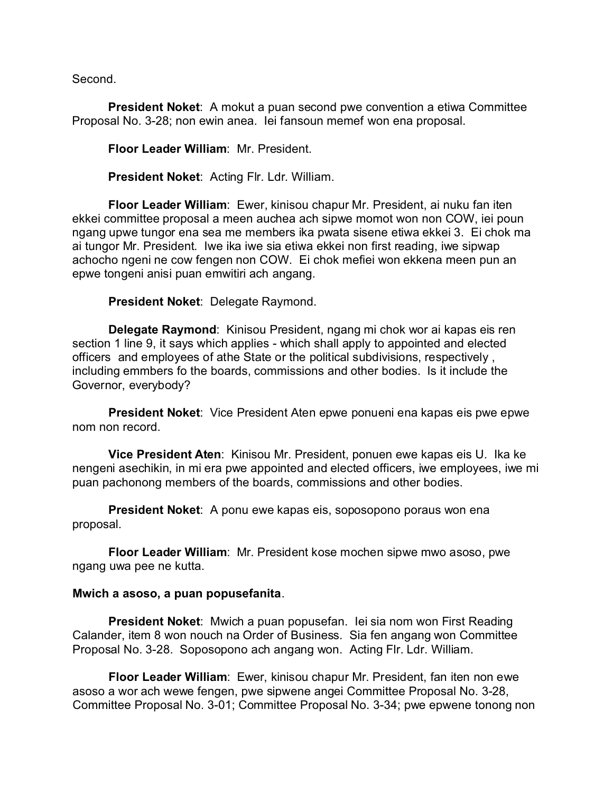Second.

**President Noket**: A mokut a puan second pwe convention a etiwa Committee Proposal No. 3-28; non ewin anea. Iei fansoun memef won ena proposal.

**Floor Leader William**: Mr. President.

**President Noket**: Acting Flr. Ldr. William.

**Floor Leader William**: Ewer, kinisou chapur Mr. President, ai nuku fan iten ekkei committee proposal a meen auchea ach sipwe momot won non COW, iei poun ngang upwe tungor ena sea me members ika pwata sisene etiwa ekkei 3. Ei chok ma ai tungor Mr. President. Iwe ika iwe sia etiwa ekkei non first reading, iwe sipwap achocho ngeni ne cow fengen non COW. Ei chok mefiei won ekkena meen pun an epwe tongeni anisi puan emwitiri ach angang.

**President Noket**: Delegate Raymond.

**Delegate Raymond**: Kinisou President, ngang mi chok wor ai kapas eis ren section 1 line 9, it says which applies - which shall apply to appointed and elected officers and employees of athe State or the political subdivisions, respectively , including emmbers fo the boards, commissions and other bodies. Is it include the Governor, everybody?

**President Noket**: Vice President Aten epwe ponueni ena kapas eis pwe epwe nom non record.

**Vice President Aten**: Kinisou Mr. President, ponuen ewe kapas eis U. Ika ke nengeni asechikin, in mi era pwe appointed and elected officers, iwe employees, iwe mi puan pachonong members of the boards, commissions and other bodies.

**President Noket**: A ponu ewe kapas eis, soposopono poraus won ena proposal.

**Floor Leader William**: Mr. President kose mochen sipwe mwo asoso, pwe ngang uwa pee ne kutta.

### **Mwich a asoso, a puan popusefanita**.

**President Noket**: Mwich a puan popusefan. Iei sia nom won First Reading Calander, item 8 won nouch na Order of Business. Sia fen angang won Committee Proposal No. 3-28. Soposopono ach angang won. Acting Flr. Ldr. William.

**Floor Leader William**: Ewer, kinisou chapur Mr. President, fan iten non ewe asoso a wor ach wewe fengen, pwe sipwene angei Committee Proposal No. 3-28, Committee Proposal No. 3-01; Committee Proposal No. 3-34; pwe epwene tonong non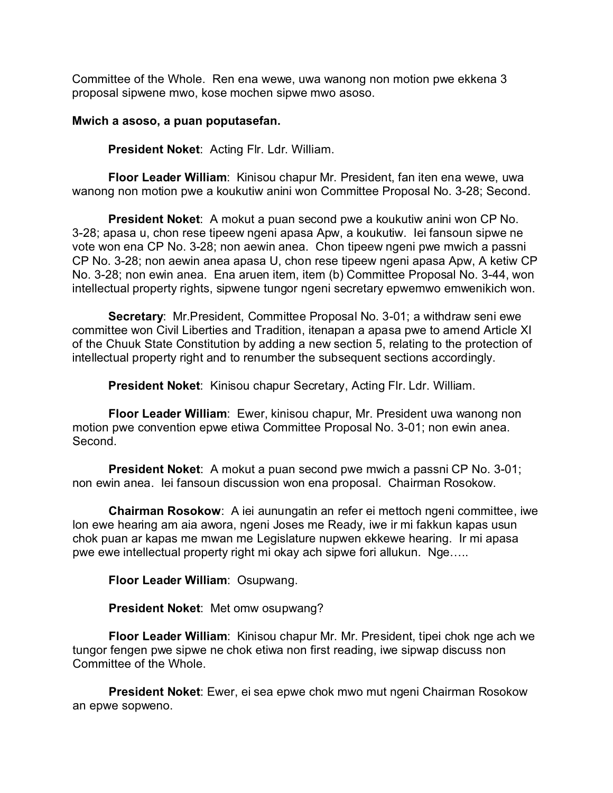Committee of the Whole. Ren ena wewe, uwa wanong non motion pwe ekkena 3 proposal sipwene mwo, kose mochen sipwe mwo asoso.

### **Mwich a asoso, a puan poputasefan.**

**President Noket**: Acting Flr. Ldr. William.

**Floor Leader William**: Kinisou chapur Mr. President, fan iten ena wewe, uwa wanong non motion pwe a koukutiw anini won Committee Proposal No. 3-28; Second.

**President Noket**: A mokut a puan second pwe a koukutiw anini won CP No. 3-28; apasa u, chon rese tipeew ngeni apasa Apw, a koukutiw. Iei fansoun sipwe ne vote won ena CP No. 3-28; non aewin anea. Chon tipeew ngeni pwe mwich a passni CP No. 3-28; non aewin anea apasa U, chon rese tipeew ngeni apasa Apw, A ketiw CP No. 3-28; non ewin anea. Ena aruen item, item (b) Committee Proposal No. 3-44, won intellectual property rights, sipwene tungor ngeni secretary epwemwo emwenikich won.

**Secretary**: Mr.President, Committee Proposal No. 3-01; a withdraw seni ewe committee won Civil Liberties and Tradition, itenapan a apasa pwe to amend Article XI of the Chuuk State Constitution by adding a new section 5, relating to the protection of intellectual property right and to renumber the subsequent sections accordingly.

**President Noket**: Kinisou chapur Secretary, Acting Flr. Ldr. William.

**Floor Leader William**: Ewer, kinisou chapur, Mr. President uwa wanong non motion pwe convention epwe etiwa Committee Proposal No. 3-01; non ewin anea. Second.

**President Noket**: A mokut a puan second pwe mwich a passni CP No. 3-01; non ewin anea. Iei fansoun discussion won ena proposal. Chairman Rosokow.

**Chairman Rosokow**: A iei aunungatin an refer ei mettoch ngeni committee, iwe lon ewe hearing am aia awora, ngeni Joses me Ready, iwe ir mi fakkun kapas usun chok puan ar kapas me mwan me Legislature nupwen ekkewe hearing. Ir mi apasa pwe ewe intellectual property right mi okay ach sipwe fori allukun. Nge…..

**Floor Leader William**: Osupwang.

**President Noket**: Met omw osupwang?

**Floor Leader William**: Kinisou chapur Mr. Mr. President, tipei chok nge ach we tungor fengen pwe sipwe ne chok etiwa non first reading, iwe sipwap discuss non Committee of the Whole.

**President Noket**: Ewer, ei sea epwe chok mwo mut ngeni Chairman Rosokow an epwe sopweno.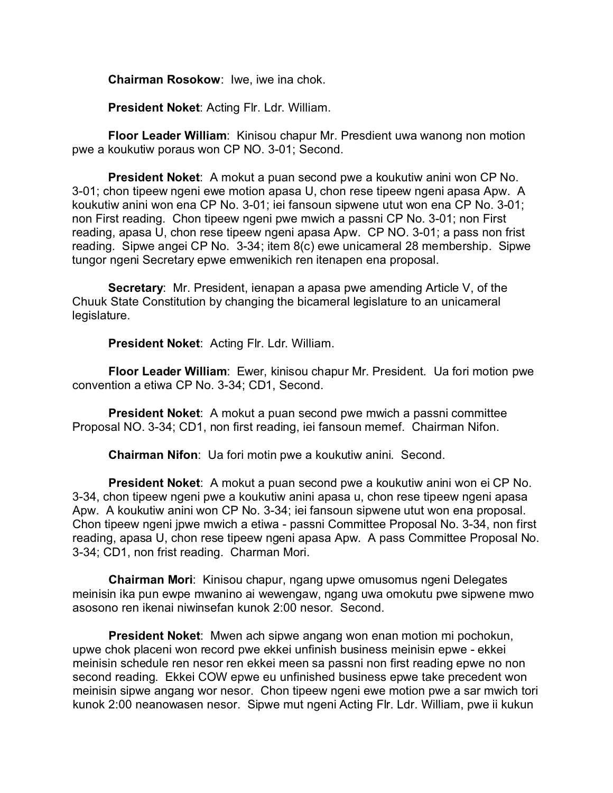**Chairman Rosokow**: Iwe, iwe ina chok.

**President Noket**: Acting Flr. Ldr. William.

**Floor Leader William**: Kinisou chapur Mr. Presdient uwa wanong non motion pwe a koukutiw poraus won CP NO. 3-01; Second.

**President Noket**: A mokut a puan second pwe a koukutiw anini won CP No. 3-01; chon tipeew ngeni ewe motion apasa U, chon rese tipeew ngeni apasa Apw. A koukutiw anini won ena CP No. 3-01; iei fansoun sipwene utut won ena CP No. 3-01; non First reading. Chon tipeew ngeni pwe mwich a passni CP No. 3-01; non First reading, apasa U, chon rese tipeew ngeni apasa Apw. CP NO. 3-01; a pass non frist reading. Sipwe angei CP No. 3-34; item 8(c) ewe unicameral 28 membership. Sipwe tungor ngeni Secretary epwe emwenikich ren itenapen ena proposal.

**Secretary**: Mr. President, ienapan a apasa pwe amending Article V, of the Chuuk State Constitution by changing the bicameral legislature to an unicameral legislature.

**President Noket**: Acting Flr. Ldr. William.

**Floor Leader William**: Ewer, kinisou chapur Mr. President. Ua fori motion pwe convention a etiwa CP No. 3-34; CD1, Second.

**President Noket:** A mokut a puan second pwe mwich a passni committee Proposal NO. 3-34; CD1, non first reading, iei fansoun memef. Chairman Nifon.

**Chairman Nifon**: Ua fori motin pwe a koukutiw anini. Second.

**President Noket**: A mokut a puan second pwe a koukutiw anini won ei CP No. 3-34, chon tipeew ngeni pwe a koukutiw anini apasa u, chon rese tipeew ngeni apasa Apw. A koukutiw anini won CP No. 3-34; iei fansoun sipwene utut won ena proposal. Chon tipeew ngeni jpwe mwich a etiwa - passni Committee Proposal No. 3-34, non first reading, apasa U, chon rese tipeew ngeni apasa Apw. A pass Committee Proposal No. 3-34; CD1, non frist reading. Charman Mori.

**Chairman Mori**: Kinisou chapur, ngang upwe omusomus ngeni Delegates meinisin ika pun ewpe mwanino ai wewengaw, ngang uwa omokutu pwe sipwene mwo asosono ren ikenai niwinsefan kunok 2:00 nesor. Second.

**President Noket**: Mwen ach sipwe angang won enan motion mi pochokun, upwe chok placeni won record pwe ekkei unfinish business meinisin epwe - ekkei meinisin schedule ren nesor ren ekkei meen sa passni non first reading epwe no non second reading. Ekkei COW epwe eu unfinished business epwe take precedent won meinisin sipwe angang wor nesor. Chon tipeew ngeni ewe motion pwe a sar mwich tori kunok 2:00 neanowasen nesor. Sipwe mut ngeni Acting Flr. Ldr. William, pwe ii kukun